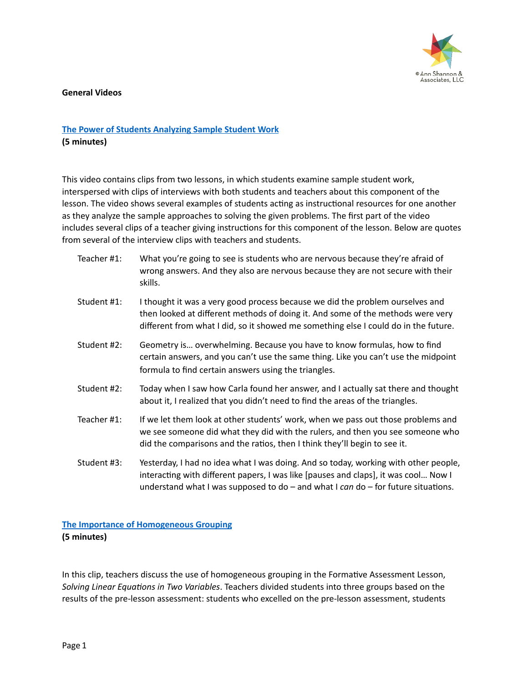

**General Videos** 

# **The Power of Students Analyzing Sample Student Work (5 minutes)**

This video contains clips from two lessons, in which students examine sample student work, interspersed with clips of interviews with both students and teachers about this component of the lesson. The video shows several examples of students acting as instructional resources for one another as they analyze the sample approaches to solving the given problems. The first part of the video includes several clips of a teacher giving instructions for this component of the lesson. Below are quotes from several of the interview clips with teachers and students.

| Teacher #1: | What you're going to see is students who are nervous because they're afraid of<br>wrong answers. And they also are nervous because they are not secure with their<br>skills.                                                                                        |
|-------------|---------------------------------------------------------------------------------------------------------------------------------------------------------------------------------------------------------------------------------------------------------------------|
| Student #1: | I thought it was a very good process because we did the problem ourselves and<br>then looked at different methods of doing it. And some of the methods were very<br>different from what I did, so it showed me something else I could do in the future.             |
| Student #2: | Geometry is overwhelming. Because you have to know formulas, how to find<br>certain answers, and you can't use the same thing. Like you can't use the midpoint<br>formula to find certain answers using the triangles.                                              |
| Student #2: | Today when I saw how Carla found her answer, and I actually sat there and thought<br>about it, I realized that you didn't need to find the areas of the triangles.                                                                                                  |
| Teacher #1: | If we let them look at other students' work, when we pass out those problems and<br>we see someone did what they did with the rulers, and then you see someone who<br>did the comparisons and the ratios, then I think they'll begin to see it.                     |
| Student #3: | Yesterday, I had no idea what I was doing. And so today, working with other people,<br>interacting with different papers, I was like [pauses and claps], it was cool Now I<br>understand what I was supposed to $do$ – and what I can $do$ – for future situations. |

# **The Importance of Homogeneous Grouping (5 minutes)**

In this clip, teachers discuss the use of homogeneous grouping in the Formative Assessment Lesson, Solving Linear Equations in Two Variables. Teachers divided students into three groups based on the results of the pre-lesson assessment: students who excelled on the pre-lesson assessment, students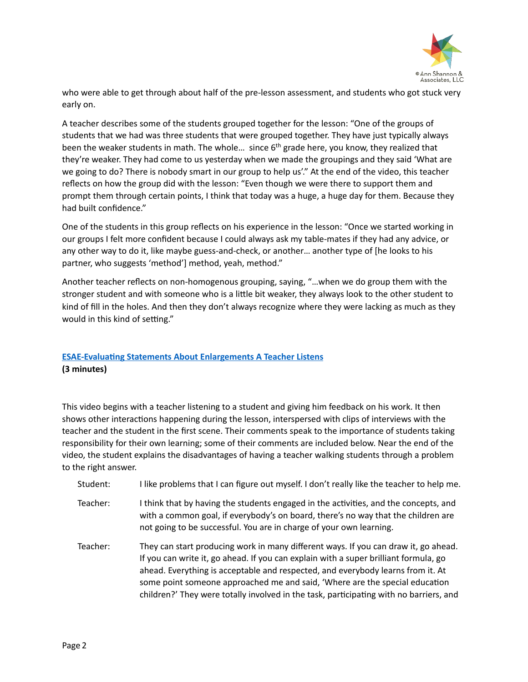

who were able to get through about half of the pre-lesson assessment, and students who got stuck very early on.

A teacher describes some of the students grouped together for the lesson: "One of the groups of students that we had was three students that were grouped together. They have just typically always been the weaker students in math. The whole... since  $6<sup>th</sup>$  grade here, you know, they realized that they're weaker. They had come to us yesterday when we made the groupings and they said 'What are we going to do? There is nobody smart in our group to help us'." At the end of the video, this teacher reflects on how the group did with the lesson: "Even though we were there to support them and prompt them through certain points, I think that today was a huge, a huge day for them. Because they had built confidence."

One of the students in this group reflects on his experience in the lesson: "Once we started working in our groups I felt more confident because I could always ask my table-mates if they had any advice, or any other way to do it, like maybe guess-and-check, or another... another type of [he looks to his partner, who suggests 'method'] method, yeah, method."

Another teacher reflects on non-homogenous grouping, saying, "...when we do group them with the stronger student and with someone who is a little bit weaker, they always look to the other student to kind of fill in the holes. And then they don't always recognize where they were lacking as much as they would in this kind of setting."

# **ESAE-Evaluating Statements About Enlargements A Teacher Listens (3 minutes)**

This video begins with a teacher listening to a student and giving him feedback on his work. It then shows other interactions happening during the lesson, interspersed with clips of interviews with the teacher and the student in the first scene. Their comments speak to the importance of students taking responsibility for their own learning; some of their comments are included below. Near the end of the video, the student explains the disadvantages of having a teacher walking students through a problem to the right answer.

- Student: I like problems that I can figure out myself. I don't really like the teacher to help me.
- Teacher: I think that by having the students engaged in the activities, and the concepts, and with a common goal, if everybody's on board, there's no way that the children are not going to be successful. You are in charge of your own learning.
- Teacher: They can start producing work in many different ways. If you can draw it, go ahead. If you can write it, go ahead. If you can explain with a super brilliant formula, go ahead. Everything is acceptable and respected, and everybody learns from it. At some point someone approached me and said, 'Where are the special education children?' They were totally involved in the task, participating with no barriers, and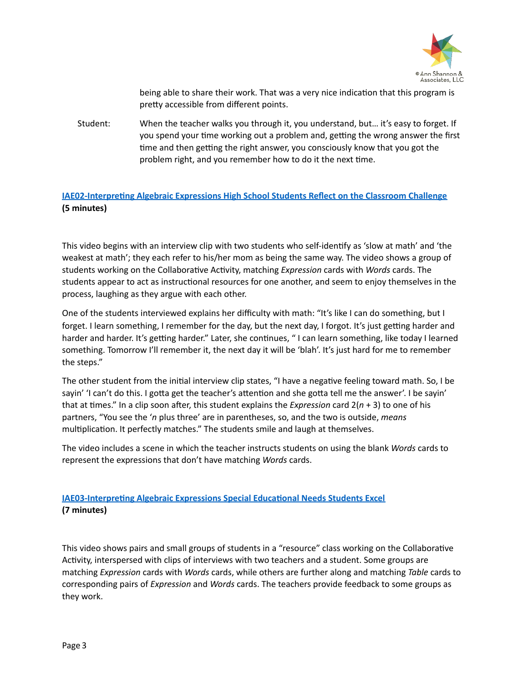

being able to share their work. That was a very nice indication that this program is pretty accessible from different points.

Student: When the teacher walks you through it, you understand, but... it's easy to forget. If you spend your time working out a problem and, getting the wrong answer the first time and then getting the right answer, you consciously know that you got the problem right, and you remember how to do it the next time.

### **IAE02-Interpreting Algebraic Expressions High School Students Reflect on the Classroom Challenge (5 minutes)**

This video begins with an interview clip with two students who self-identify as 'slow at math' and 'the weakest at math'; they each refer to his/her mom as being the same way. The video shows a group of students working on the Collaborative Activity, matching *Expression* cards with *Words* cards. The students appear to act as instructional resources for one another, and seem to enjoy themselves in the process, laughing as they argue with each other.

One of the students interviewed explains her difficulty with math: "It's like I can do something, but I forget. I learn something, I remember for the day, but the next day, I forgot. It's just getting harder and harder and harder. It's getting harder." Later, she continues, "I can learn something, like today I learned something. Tomorrow I'll remember it, the next day it will be 'blah'. It's just hard for me to remember the steps."

The other student from the initial interview clip states, "I have a negative feeling toward math. So, I be sayin' 'I can't do this. I gotta get the teacher's attention and she gotta tell me the answer'. I be sayin' that at times." In a clip soon after, this student explains the *Expression* card  $2(n + 3)$  to one of his partners, "You see the 'n plus three' are in parentheses, so, and the two is outside, *means* multiplication. It perfectly matches." The students smile and laugh at themselves.

The video includes a scene in which the teacher instructs students on using the blank *Words* cards to represent the expressions that don't have matching *Words* cards.

# **IAE03-Interpreting Algebraic Expressions Special Educational Needs Students Excel (7 minutes)**

This video shows pairs and small groups of students in a "resource" class working on the Collaborative Activity, interspersed with clips of interviews with two teachers and a student. Some groups are matching *Expression* cards with *Words* cards, while others are further along and matching *Table* cards to corresponding pairs of *Expression* and *Words* cards. The teachers provide feedback to some groups as they work.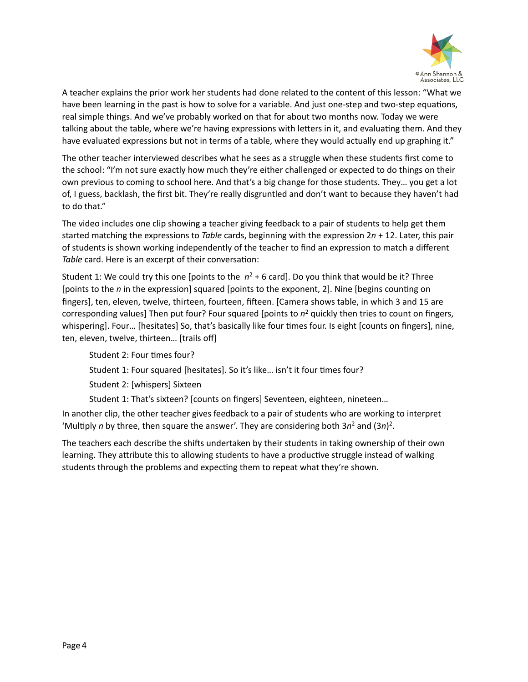

A teacher explains the prior work her students had done related to the content of this lesson: "What we have been learning in the past is how to solve for a variable. And just one-step and two-step equations, real simple things. And we've probably worked on that for about two months now. Today we were talking about the table, where we're having expressions with letters in it, and evaluating them. And they have evaluated expressions but not in terms of a table, where they would actually end up graphing it."

The other teacher interviewed describes what he sees as a struggle when these students first come to the school: "I'm not sure exactly how much they're either challenged or expected to do things on their own previous to coming to school here. And that's a big change for those students. They... you get a lot of, I guess, backlash, the first bit. They're really disgruntled and don't want to because they haven't had to do that."

The video includes one clip showing a teacher giving feedback to a pair of students to help get them started matching the expressions to *Table* cards, beginning with the expression  $2n + 12$ . Later, this pair of students is shown working independently of the teacher to find an expression to match a different Table card. Here is an excerpt of their conversation:

Student 1: We could try this one [points to the  $n^2 + 6$  card]. Do you think that would be it? Three [points to the *n* in the expression] squared [points to the exponent, 2]. Nine [begins counting on fingers], ten, eleven, twelve, thirteen, fourteen, fifteen. [Camera shows table, in which 3 and 15 are corresponding values] Then put four? Four squared [points to  $n^2$  quickly then tries to count on fingers, whispering]. Four... [hesitates] So, that's basically like four times four. Is eight [counts on fingers], nine, ten, eleven, twelve, thirteen... [trails off]

Student 2: Four times four? Student 1: Four squared [hesitates]. So it's like... isn't it four times four? Student 2: [whispers] Sixteen

Student 1: That's sixteen? [counts on fingers] Seventeen, eighteen, nineteen...

In another clip, the other teacher gives feedback to a pair of students who are working to interpret 'Multiply *n* by three, then square the answer'. They are considering both  $3n^2$  and  $(3n)^2$ .

The teachers each describe the shifts undertaken by their students in taking ownership of their own learning. They attribute this to allowing students to have a productive struggle instead of walking students through the problems and expecting them to repeat what they're shown.